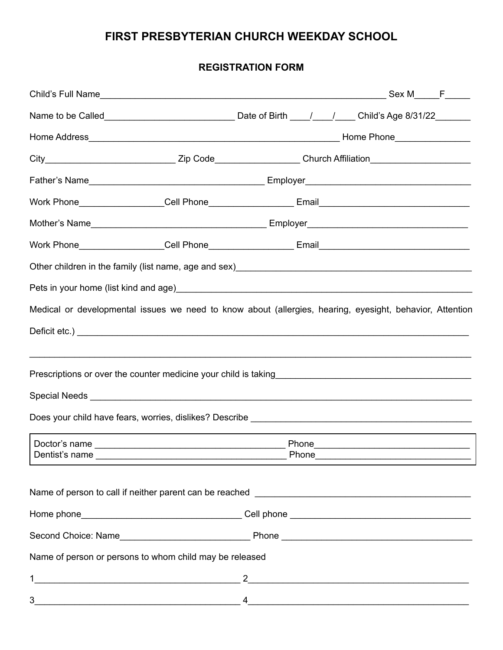## **FIRST PRESBYTERIAN CHURCH WEEKDAY SCHOOL**

## **REGISTRATION FORM**

| City__________________________________Zip Code___________________Church Affiliation______________________                                                               |                                                                                                                                                                                                                                                                                                                                                                               |  |  |  |
|-------------------------------------------------------------------------------------------------------------------------------------------------------------------------|-------------------------------------------------------------------------------------------------------------------------------------------------------------------------------------------------------------------------------------------------------------------------------------------------------------------------------------------------------------------------------|--|--|--|
|                                                                                                                                                                         |                                                                                                                                                                                                                                                                                                                                                                               |  |  |  |
|                                                                                                                                                                         |                                                                                                                                                                                                                                                                                                                                                                               |  |  |  |
|                                                                                                                                                                         |                                                                                                                                                                                                                                                                                                                                                                               |  |  |  |
|                                                                                                                                                                         |                                                                                                                                                                                                                                                                                                                                                                               |  |  |  |
| Other children in the family (list name, age and sex)<br>and sex manager and the manager contract in the family of the family (list name, age and sex and sex and the f |                                                                                                                                                                                                                                                                                                                                                                               |  |  |  |
|                                                                                                                                                                         |                                                                                                                                                                                                                                                                                                                                                                               |  |  |  |
| Medical or developmental issues we need to know about (allergies, hearing, eyesight, behavior, Attention                                                                |                                                                                                                                                                                                                                                                                                                                                                               |  |  |  |
|                                                                                                                                                                         |                                                                                                                                                                                                                                                                                                                                                                               |  |  |  |
|                                                                                                                                                                         |                                                                                                                                                                                                                                                                                                                                                                               |  |  |  |
|                                                                                                                                                                         |                                                                                                                                                                                                                                                                                                                                                                               |  |  |  |
|                                                                                                                                                                         |                                                                                                                                                                                                                                                                                                                                                                               |  |  |  |
|                                                                                                                                                                         |                                                                                                                                                                                                                                                                                                                                                                               |  |  |  |
|                                                                                                                                                                         |                                                                                                                                                                                                                                                                                                                                                                               |  |  |  |
|                                                                                                                                                                         |                                                                                                                                                                                                                                                                                                                                                                               |  |  |  |
|                                                                                                                                                                         |                                                                                                                                                                                                                                                                                                                                                                               |  |  |  |
| Name of person to call if neither parent can be reached                                                                                                                 |                                                                                                                                                                                                                                                                                                                                                                               |  |  |  |
|                                                                                                                                                                         |                                                                                                                                                                                                                                                                                                                                                                               |  |  |  |
|                                                                                                                                                                         |                                                                                                                                                                                                                                                                                                                                                                               |  |  |  |
| Name of person or persons to whom child may be released                                                                                                                 |                                                                                                                                                                                                                                                                                                                                                                               |  |  |  |
|                                                                                                                                                                         | $2$ and $\overline{\phantom{a}2}$ and $\overline{\phantom{a}2}$ and $\overline{\phantom{a}2}$ and $\overline{\phantom{a}2}$ and $\overline{\phantom{a}2}$ and $\overline{\phantom{a}2}$ and $\overline{\phantom{a}2}$ and $\overline{\phantom{a}2}$ and $\overline{\phantom{a}2}$ and $\overline{\phantom{a}2}$ and $\overline{\phantom{a}2}$ and $\overline{\phantom{a}2}$ a |  |  |  |
| 3                                                                                                                                                                       | $4 \overline{2}$                                                                                                                                                                                                                                                                                                                                                              |  |  |  |